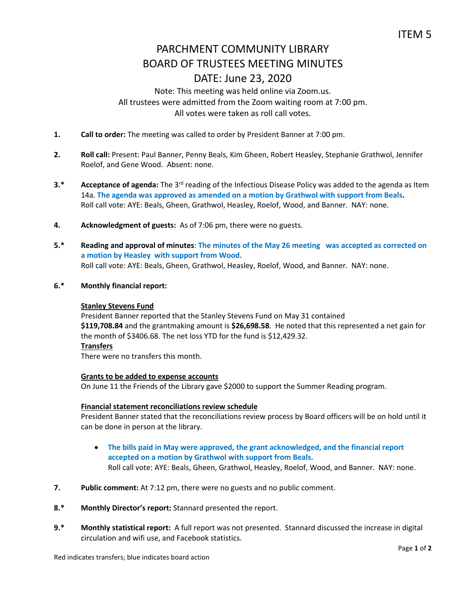# PARCHMENT COMMUNITY LIBRARY BOARD OF TRUSTEES MEETING MINUTES DATE: June 23, 2020

### Note: This meeting was held online via Zoom.us. All trustees were admitted from the Zoom waiting room at 7:00 pm. All votes were taken as roll call votes.

- **1. Call to order:** The meeting was called to order by President Banner at 7:00 pm.
- **2. Roll call:** Present: Paul Banner, Penny Beals, Kim Gheen, Robert Heasley, Stephanie Grathwol, Jennifer Roelof, and Gene Wood. Absent: none.
- **3.\*** Acceptance of agenda: The 3<sup>rd</sup> reading of the Infectious Disease Policy was added to the agenda as Item 14a. **The agenda was approved as amended on a motion by Grathwol with support from Beals.**  Roll call vote: AYE: Beals, Gheen, Grathwol, Heasley, Roelof, Wood, and Banner. NAY: none.
- **4. Acknowledgment of guests:** As of 7:06 pm, there were no guests.
- **5.\* Reading and approval of minutes**: **The minutes of the May 26 meeting was accepted as corrected on a motion by Heasley with support from Wood.**  Roll call vote: AYE: Beals, Gheen, Grathwol, Heasley, Roelof, Wood, and Banner. NAY: none.
- **6.\* Monthly financial report:**

### **Stanley Stevens Fund**

President Banner reported that the Stanley Stevens Fund on May 31 contained **\$119,708.84** and the grantmaking amount is **\$26,698.58**. He noted that this represented a net gain for the month of \$3406.68. The net loss YTD for the fund is \$12,429.32. **Transfers**

There were no transfers this month.

### **Grants to be added to expense accounts**

On June 11 the Friends of the Library gave \$2000 to support the Summer Reading program.

### **Financial statement reconciliations review schedule**

President Banner stated that the reconciliations review process by Board officers will be on hold until it can be done in person at the library.

- **The bills paid in May were approved, the grant acknowledged, and the financial report accepted on a motion by Grathwol with support from Beals.** Roll call vote: AYE: Beals, Gheen, Grathwol, Heasley, Roelof, Wood, and Banner. NAY: none.
- **7. Public comment:** At 7:12 pm, there were no guests and no public comment.
- **8.\* Monthly Director's report:** Stannard presented the report.
- **9.\* Monthly statistical report:** A full report was not presented. Stannard discussed the increase in digital circulation and wifi use, and Facebook statistics.